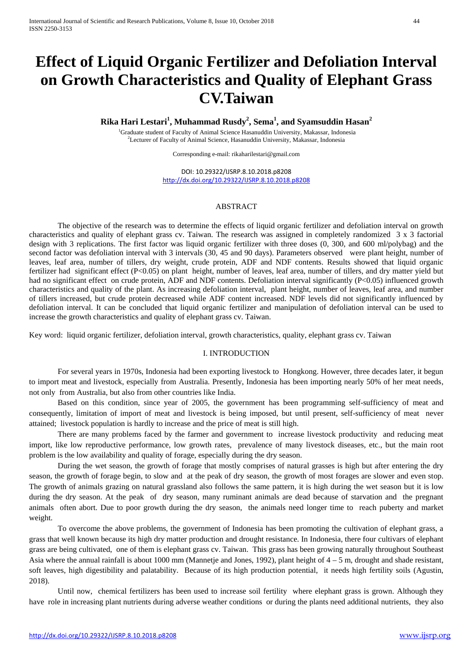# **Effect of Liquid Organic Fertilizer and Defoliation Interval on Growth Characteristics and Quality of Elephant Grass CV.Taiwan**

**Rika Hari Lestari1 , Muhammad Rusdy<sup>2</sup> , Sema<sup>1</sup> , and Syamsuddin Hasan<sup>2</sup>**

<sup>1</sup>Graduate student of Faculty of Animal Science Hasanuddin University, Makassar, Indonesia 2 Lecturer of Faculty of Animal Science, Hasanuddin University, Makassar, Indonesia

Corresponding e-mail: rikaharilestari@gmail.com

DOI: 10.29322/IJSRP.8.10.2018.p8208 <http://dx.doi.org/10.29322/IJSRP.8.10.2018.p8208>

## ABSTRACT

The objective of the research was to determine the effects of liquid organic fertilizer and defoliation interval on growth characteristics and quality of elephant grass cv. Taiwan. The research was assigned in completely randomized 3 x 3 factorial design with 3 replications. The first factor was liquid organic fertilizer with three doses (0, 300, and 600 ml/polybag) and the second factor was defoliation interval with 3 intervals (30, 45 and 90 days). Parameters observed were plant height, number of leaves, leaf area, number of tillers, dry weight, crude protein, ADF and NDF contents. Results showed that liquid organic fertilizer had significant effect (P<0.05) on plant height, number of leaves, leaf area, number of tillers, and dry matter yield but had no significant effect on crude protein, ADF and NDF contents. Defoliation interval significantly (P<0.05) influenced growth characteristics and quality of the plant. As increasing defoliation interval, plant height, number of leaves, leaf area, and number of tillers increased, but crude protein decreased while ADF content increased. NDF levels did not significantly influenced by defoliation interval. It can be concluded that liquid organic fertilizer and manipulation of defoliation interval can be used to increase the growth characteristics and quality of elephant grass cv. Taiwan.

Key word: liquid organic fertilizer, defoliation interval, growth characteristics, quality, elephant grass cv. Taiwan

## I. INTRODUCTION

For several years in 1970s, Indonesia had been exporting livestock to Hongkong. However, three decades later, it begun to import meat and livestock, especially from Australia. Presently, Indonesia has been importing nearly 50% of her meat needs, not only from Australia, but also from other countries like India.

Based on this condition, since year of 2005, the government has been programming self-sufficiency of meat and consequently, limitation of import of meat and livestock is being imposed, but until present, self-sufficiency of meat never attained; livestock population is hardly to increase and the price of meat is still high.

There are many problems faced by the farmer and government to increase livestock productivity and reducing meat import, like low reproductive performance, low growth rates, prevalence of many livestock diseases, etc., but the main root problem is the low availability and quality of forage, especially during the dry season.

During the wet season, the growth of forage that mostly comprises of natural grasses is high but after entering the dry season, the growth of forage begin, to slow and at the peak of dry season, the growth of most forages are slower and even stop. The growth of animals grazing on natural grassland also follows the same pattern, it is high during the wet season but it is low during the dry season. At the peak of dry season, many ruminant animals are dead because of starvation and the pregnant animals often abort. Due to poor growth during the dry season, the animals need longer time to reach puberty and market weight.

To overcome the above problems, the government of Indonesia has been promoting the cultivation of elephant grass, a grass that well known because its high dry matter production and drought resistance. In Indonesia, there four cultivars of elephant grass are being cultivated, one of them is elephant grass cv. Taiwan. This grass has been growing naturally throughout Southeast Asia where the annual rainfall is about 1000 mm (Mannetje and Jones, 1992), plant height of  $4 - 5$  m, drought and shade resistant, soft leaves, high digestibility and palatability. Because of its high production potential, it needs high fertility soils (Agustin, 2018).

Until now, chemical fertilizers has been used to increase soil fertility where elephant grass is grown. Although they have role in increasing plant nutrients during adverse weather conditions or during the plants need additional nutrients, they also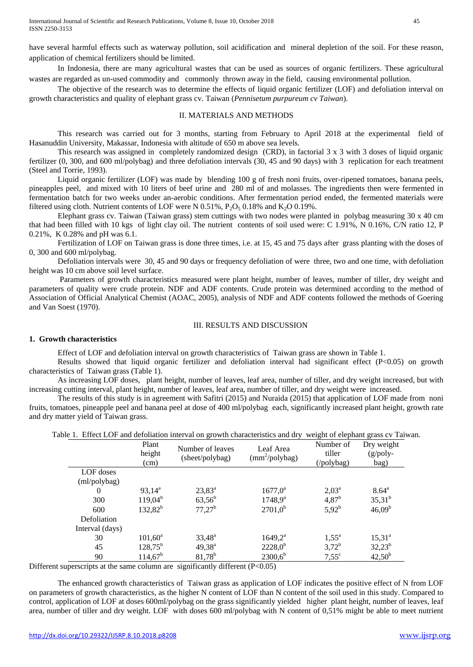have several harmful effects such as waterway pollution, soil acidification and mineral depletion of the soil. For these reason, application of chemical fertilizers should be limited.

In Indonesia, there are many agricultural wastes that can be used as sources of organic fertilizers. These agricultural wastes are regarded as un-used commodity and commonly thrown away in the field, causing environmental pollution.

The objective of the research was to determine the effects of liquid organic fertilizer (LOF) and defoliation interval on growth characteristics and quality of elephant grass cv. Taiwan (*Pennisetum purpureum cv Taiwan*).

#### II. MATERIALS AND METHODS

This research was carried out for 3 months, starting from February to April 2018 at the experimental field of Hasanuddin University, Makassar, Indonesia with altitude of 650 m above sea levels.

This research was assigned in completely randomized design (CRD), in factorial 3 x 3 with 3 doses of liquid organic fertilizer (0, 300, and 600 ml/polybag) and three defoliation intervals (30, 45 and 90 days) with 3 replication for each treatment (Steel and Torrie, 1993).

Liquid organic fertilizer (LOF) was made by blending 100 g of fresh noni fruits, over-ripened tomatoes, banana peels, pineapples peel, and mixed with 10 liters of beef urine and 280 ml of and molasses. The ingredients then were fermented in fermentation batch for two weeks under an-aerobic conditions. After fermentation period ended, the fermented materials were filtered using cloth. Nutrient contents of LOF were N  $0.51\%$ , P<sub>2</sub>O<sub>5</sub> 0.18% and K<sub>2</sub>O 0.19%.

Elephant grass cv. Taiwan (Taiwan grass) stem cuttings with two nodes were planted in polybag measuring 30 x 40 cm that had been filled with 10 kgs of light clay oil. The nutrient contents of soil used were: C 1.91%, N 0.16%, C/N ratio 12, P 0.21%, K 0.28% and pH was 6.1.

Fertilization of LOF on Taiwan grass is done three times, i.e. at 15, 45 and 75 days after grass planting with the doses of 0, 300 and 600 ml/polybag.

Defoliation intervals were 30, 45 and 90 days or frequency defoliation of were three, two and one time, with defoliation height was 10 cm above soil level surface.

Parameters of growth characteristics measured were plant height, number of leaves, number of tiller, dry weight and parameters of quality were crude protein. NDF and ADF contents. Crude protein was determined according to the method of Association of Official Analytical Chemist (AOAC, 2005), analysis of NDF and ADF contents followed the methods of Goering and Van Soest (1970).

## III. RESULTS AND DISCUSSION

#### **1. Growth characteristics**

Effect of LOF and defoliation interval on growth characteristics of Taiwan grass are shown in Table 1.

Results showed that liquid organic fertilizer and defoliation interval had significant effect (P<0.05) on growth characteristics of Taiwan grass (Table 1).

As increasing LOF doses, plant height, number of leaves, leaf area, number of tiller, and dry weight increased, but with increasing cutting interval, plant height, number of leaves, leaf area, number of tiller, and dry weight were increased.

The results of this study is in agreement with Safitri (2015) and Nuraida (2015) that application of LOF made from noni fruits, tomatoes, pineapple peel and banana peel at dose of 400 ml/polybag each, significantly increased plant height, growth rate and dry matter yield of Taiwan grass.

|  |  | Table 1. Effect LOF and defoliation interval on growth characteristics and dry weight of elephant grass cy Taiwan. |  |  |
|--|--|--------------------------------------------------------------------------------------------------------------------|--|--|
|  |  |                                                                                                                    |  |  |

|                 | Plant<br>height<br>(cm) | Number of leaves<br>(sheet/polybag) | Leaf Area<br>$(mm^2/polybag)$ | Number of<br>tiller<br>(/polybag) | Dry weight<br>$(g$ /poly-<br>bag) |
|-----------------|-------------------------|-------------------------------------|-------------------------------|-----------------------------------|-----------------------------------|
| LOF doses       |                         |                                     |                               |                                   |                                   |
| (ml/polybag)    |                         |                                     |                               |                                   |                                   |
| $\Omega$        | $93,14^a$               | $23,83^a$                           | $1677,0^a$                    | $2,03^{\rm a}$                    | $8.64^{\circ}$                    |
| 300             | $119,04^b$              | $63,56^b$                           | $1748,9^a$                    | $4,87^{\rm b}$                    | $35,31^{b}$                       |
| 600             | $132,82^b$              | $77,27^b$                           | $2701,0^b$                    | $5,92^{b}$                        | $46,09^b$                         |
| Defoliation     |                         |                                     |                               |                                   |                                   |
| Interval (days) |                         |                                     |                               |                                   |                                   |
| 30              | $101,60^a$              | $33,48^{\rm a}$                     | $1649,2^a$                    | $1,55^{\circ}$                    | $15,31^{\circ}$                   |
| 45              | $128,75^{\rm b}$        | $49,38^{\rm a}$                     | $2228,0^b$                    | $3,72^{b}$                        | $32,23^b$                         |
| 90              | $114,67^b$              | $81,78^{\rm b}$                     | $2300,6^b$                    | $7,55^{\circ}$                    | $42,50^{b}$                       |

Different superscripts at the same column are significantly different (P<0.05)

The enhanced growth characteristics of Taiwan grass as application of LOF indicates the positive effect of N from LOF on parameters of growth characteristics, as the higher N content of LOF than N content of the soil used in this study. Compared to control, application of LOF at doses 600ml/polybag on the grass significantly yielded higher plant height, number of leaves, leaf area, number of tiller and dry weight. LOF with doses 600 ml/polybag with N content of 0,51% might be able to meet nutrient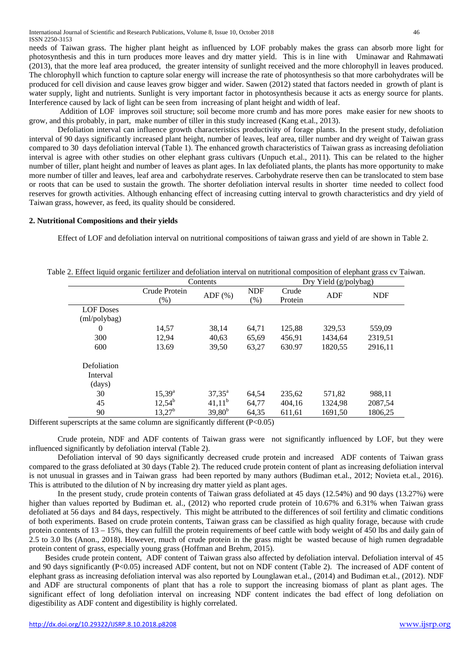needs of Taiwan grass. The higher plant height as influenced by LOF probably makes the grass can absorb more light for photosynthesis and this in turn produces more leaves and dry matter yield. This is in line with Uminawar and Rahmawati (2013), that the more leaf area produced, the greater intensity of sunlight received and the more chlorophyll in leaves produced. The chlorophyll which function to capture solar energy will increase the rate of photosynthesis so that more carbohydrates will be produced for cell division and cause leaves grow bigger and wider. Sawen (2012) stated that factors needed in growth of plant is water supply, light and nutrients. Sunlight is very important factor in photosynthesis because it acts as energy source for plants. Interference caused by lack of light can be seen from increasing of plant height and width of leaf.

Addition of LOF improves soil structure; soil become more crumb and has more pores make easier for new shoots to grow, and this probably, in part, make number of tiller in this study increased (Kang et.al., 2013).

Defoliation interval can influence growth characteristics productivity of forage plants. In the present study, defoliation interval of 90 days significantly increased plant height, number of leaves, leaf area, tiller number and dry weight of Taiwan grass compared to 30 days defoliation interval (Table 1). The enhanced growth characteristics of Taiwan grass as increasing defoliation interval is agree with other studies on other elephant grass cultivars (Unpuch et.al., 2011). This can be related to the higher number of tiller, plant height and number of leaves as plant ages. In lax defoliated plants, the plants has more opportunity to make more number of tiller and leaves, leaf area and carbohydrate reserves. Carbohydrate reserve then can be translocated to stem base or roots that can be used to sustain the growth. The shorter defoliation interval results in shorter time needed to collect food reserves for growth activities. Although enhancing effect of increasing cutting interval to growth characteristics and dry yield of Taiwan grass, however, as feed, its quality should be considered.

## **2. Nutritional Compositions and their yields**

Effect of LOF and defoliation interval on nutritional compositions of taiwan grass and yield of are shown in Table 2.

|                  | Contents        | Dry Yield (g/polybag) |            |         |         |            |  |
|------------------|-----------------|-----------------------|------------|---------|---------|------------|--|
|                  | Crude Protein   | $ADF$ $(\%)$          | <b>NDF</b> | Crude   | ADF     | <b>NDF</b> |  |
|                  | (% )            |                       | (%)        | Protein |         |            |  |
| <b>LOF</b> Doses |                 |                       |            |         |         |            |  |
| (ml/polybag)     |                 |                       |            |         |         |            |  |
| $\theta$         | 14,57           | 38.14                 | 64,71      | 125,88  | 329,53  | 559,09     |  |
| 300              | 12,94           | 40,63                 | 65,69      | 456,91  | 1434,64 | 2319,51    |  |
| 600              | 13.69           | 39,50                 | 63,27      | 630.97  | 1820,55 | 2916,11    |  |
| Defoliation      |                 |                       |            |         |         |            |  |
| Interval         |                 |                       |            |         |         |            |  |
| (days)           |                 |                       |            |         |         |            |  |
| 30               | $15,39^{\rm a}$ | $37,35^{\circ}$       | 64,54      | 235,62  | 571,82  | 988,11     |  |
| 45               | $12,54^{b}$     | $41,11^b$             | 64,77      | 404,16  | 1324,98 | 2087,54    |  |
| 90               | $13,27^{\rm b}$ | $39,80^{b}$           | 64,35      | 611,61  | 1691,50 | 1806,25    |  |

|  |  | Table 2. Effect liquid organic fertilizer and defoliation interval on nutritional composition of elephant grass cv Taiwan. |  |  |  |
|--|--|----------------------------------------------------------------------------------------------------------------------------|--|--|--|
|  |  |                                                                                                                            |  |  |  |

Different superscripts at the same column are significantly different  $(P<0.05)$ 

Crude protein, NDF and ADF contents of Taiwan grass were not significantly influenced by LOF, but they were influenced significantly by defoliation interval (Table 2).

Defoliation interval of 90 days significantly decreased crude protein and increased ADF contents of Taiwan grass compared to the grass defoliated at 30 days (Table 2). The reduced crude protein content of plant as increasing defoliation interval is not unusual in grasses and in Taiwan grass had been reported by many authors (Budiman et.al., 2012; Novieta et.al., 2016). This is attributed to the dilution of N by increasing dry matter yield as plant ages.

In the present study, crude protein contents of Taiwan grass defoliated at 45 days (12.54%) and 90 days (13.27%) were higher than values reported by Budiman et. al., (2012) who reported crude protein of 10.67% and 6.31% when Taiwan grass defoliated at 56 days and 84 days, respectively. This might be attributed to the differences of soil fertility and climatic conditions of both experiments. Based on crude protein contents, Taiwan grass can be classified as high quality forage, because with crude protein contents of 13 – 15%, they can fulfill the protein requirements of beef cattle with body weight of 450 lbs and daily gain of 2.5 to 3.0 lbs (Anon., 2018). However, much of crude protein in the grass might be wasted because of high rumen degradable protein content of grass, especially young grass (Hoffman and Brehm, 2015).

 Besides crude protein content, ADF content of Taiwan grass also affected by defoliation interval. Defoliation interval of 45 and 90 days significantly (P<0.05) increased ADF content, but not on NDF content (Table 2). The increased of ADF content of elephant grass as increasing defoliation interval was also reported by Lounglawan et.al., (2014) and Budiman et.al., (2012). NDF and ADF are structural components of plant that has a role to support the increasing biomass of plant as plant ages. The significant effect of long defoliation interval on increasing NDF content indicates the bad effect of long defoliation on digestibility as ADF content and digestibility is highly correlated.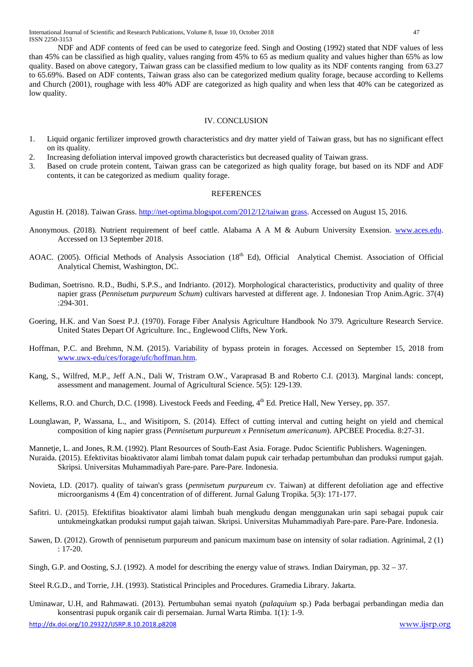NDF and ADF contents of feed can be used to categorize feed. Singh and Oosting (1992) stated that NDF values of less than 45% can be classified as high quality, values ranging from 45% to 65 as medium quality and values higher than 65% as low quality. Based on above category, Taiwan grass can be classified medium to low quality as its NDF contents ranging from 63.27 to 65.69%. Based on ADF contents, Taiwan grass also can be categorized medium quality forage, because according to Kellems and Church (2001), roughage with less 40% ADF are categorized as high quality and when less that 40% can be categorized as low quality.

## IV. CONCLUSION

- 1. Liquid organic fertilizer improved growth characteristics and dry matter yield of Taiwan grass, but has no significant effect on its quality.
- 2. Increasing defoliation interval impoved growth characteristics but decreased quality of Taiwan grass.
- 3. Based on crude protein content, Taiwan grass can be categorized as high quality forage, but based on its NDF and ADF contents, it can be categorized as medium quality forage.

#### **REFERENCES**

Agustin H. (2018). Taiwan Grass.<http://net-optima.blogspot.com/2012/12/taiwan> grass. Accessed on August 15, 2016.

- Anonymous. (2018). Nutrient requirement of beef cattle. Alabama A A M & Auburn University Exension. [www.aces.edu.](http://www.aces.edu/) Accessed on 13 September 2018.
- AOAC. (2005). Official Methods of Analysis Association (18<sup>th</sup> Ed), Official Analytical Chemist. Association of Official Analytical Chemist, Washington, DC.
- Budiman, Soetrisno. R.D., Budhi, S.P.S., and Indrianto. (2012). Morphological characteristics, productivity and quality of three napier grass (*Pennisetum purpureum Schum*) cultivars harvested at different age. J. Indonesian Trop Anim.Agric. 37(4) :294-301.
- Goering, H.K. and Van Soest P.J. (1970). Forage Fiber Analysis Agriculture Handbook No 379. Agriculture Research Service. United States Depart Of Agriculture. Inc., Englewood Clifts, New York.
- Hoffman, P.C. and Brehmn, N.M. (2015). Variability of bypass protein in forages. Accessed on September 15, 2018 from [www.uwx-edu/ces/forage/ufc/hoffman.htm.](http://www.uwx-edu/ces/forage/ufc/hoffman.htm)
- Kang, S., Wilfred, M.P., Jeff A.N., Dali W, Tristram O.W., Varaprasad B and Roberto C.I. (2013). Marginal lands: concept, assessment and management. Journal of Agricultural Science. 5(5): 129-139.
- Kellems, R.O. and Church, D.C. (1998). Livestock Feeds and Feeding,  $4<sup>th</sup>$  Ed. Pretice Hall, New Yersey, pp. 357.
- Lounglawan, P, Wassana, L., and Wisitiporn, S. (2014). Effect of cutting interval and cutting height on yield and chemical composition of king napier grass (*Pennisetum purpureum x Pennisetum americanum*). APCBEE Procedia. 8:27-31.
- Mannetje, L. and Jones, R.M. (1992). Plant Resources of South-East Asia. Forage. Pudoc Scientific Publishers. Wageningen.
- Nuraida. (2015). Efektivitas bioaktivator alami limbah tomat dalam pupuk cair terhadap pertumbuhan dan produksi rumput gajah. Skripsi. Universitas Muhammadiyah Pare-pare. Pare-Pare. Indonesia.
- Novieta, I.D. (2017). quality of taiwan's grass (*pennisetum purpureum* cv. Taiwan) at different defoliation age and effective microorganisms 4 (Em 4) concentration of of different. Jurnal Galung Tropika. 5(3): 171-177.
- Safitri. U. (2015). Efektifitas bioaktivator alami limbah buah mengkudu dengan menggunakan urin sapi sebagai pupuk cair untukmeingkatkan produksi rumput gajah taiwan. Skripsi. Universitas Muhammadiyah Pare-pare. Pare-Pare. Indonesia.
- Sawen, D. (2012). Growth of pennisetum purpureum and panicum maximum base on intensity of solar radiation. Agrinimal, 2 (1) : 17-20.
- Singh, G.P. and Oosting, S.J. (1992). A model for describing the energy value of straws. Indian Dairyman, pp. 32 37.
- Steel R.G.D., and Torrie, J.H. (1993). Statistical Principles and Procedures. Gramedia Library. Jakarta.
- Uminawar, U.H, and Rahmawati. (2013). Pertumbuhan semai nyatoh (*palaquium* sp.) Pada berbagai perbandingan media dan konsentrasi pupuk organik cair di persemaian. Jurnal Warta Rimba. 1(1): 1-9.

<http://dx.doi.org/10.29322/IJSRP.8.10.2018.p8208> [www.ijsrp.org](http://ijsrp.org/)